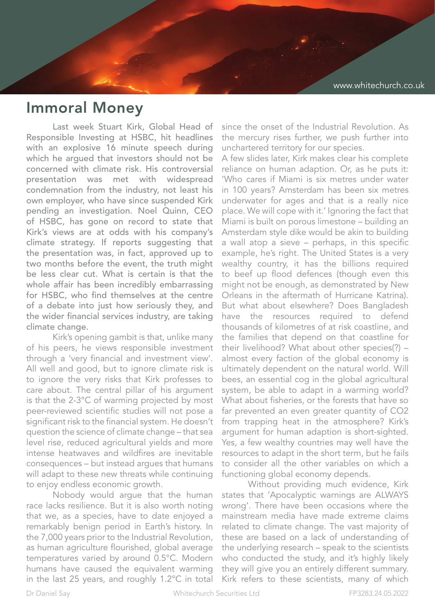## Immoral Money

Last week Stuart Kirk, Global Head of Responsible Investing at HSBC, hit headlines with an explosive 16 minute speech during which he argued that investors should not be concerned with climate risk. His controversial presentation was met with widespread condemnation from the industry, not least his own employer, who have since suspended Kirk pending an investigation. Noel Quinn, CEO of HSBC, has gone on record to state that Kirk's views are at odds with his company's climate strategy. If reports suggesting that the presentation was, in fact, approved up to two months before the event, the truth might be less clear cut. What is certain is that the whole affair has been incredibly embarrassing for HSBC, who find themselves at the centre of a debate into just how seriously they, and the wider financial services industry, are taking climate change.

Kirk's opening gambit is that, unlike many of his peers, he views responsible investment through a 'very financial and investment view'. All well and good, but to ignore climate risk is to ignore the very risks that Kirk professes to care about. The central pillar of his argument is that the 2-3°C of warming projected by most peer-reviewed scientific studies will not pose a significant risk to the financial system. He doesn't question the science of climate change – that sea level rise, reduced agricultural yields and more intense heatwaves and wildfires are inevitable consequences – but instead argues that humans will adapt to these new threats while continuing to enjoy endless economic growth.

Nobody would argue that the human race lacks resilience. But it is also worth noting that we, as a species, have to date enjoyed a remarkably benign period in Earth's history. In the 7,000 years prior to the Industrial Revolution, as human agriculture flourished, global average temperatures varied by around 0.5°C. Modern humans have caused the equivalent warming in the last 25 years, and roughly 1.2°C in total

since the onset of the Industrial Revolution. As the mercury rises further, we push further into unchartered territory for our species.

A few slides later, Kirk makes clear his complete reliance on human adaption. Or, as he puts it: 'Who cares if Miami is six metres under water in 100 years? Amsterdam has been six metres underwater for ages and that is a really nice place. We will cope with it.' Ignoring the fact that Miami is built on porous limestone – building an Amsterdam style dike would be akin to building a wall atop a sieve – perhaps, in this specific example, he's right. The United States is a very wealthy country, it has the billions required to beef up flood defences (though even this might not be enough, as demonstrated by New Orleans in the aftermath of Hurricane Katrina). But what about elsewhere? Does Bangladesh have the resources required to defend thousands of kilometres of at risk coastline, and the families that depend on that coastline for their livelihood? What about other species(?) – almost every faction of the global economy is ultimately dependent on the natural world. Will bees, an essential cog in the global agricultural system, be able to adapt in a warming world? What about fisheries, or the forests that have so far prevented an even greater quantity of CO2 from trapping heat in the atmosphere? Kirk's argument for human adaption is short-sighted. Yes, a few wealthy countries may well have the resources to adapt in the short term, but he fails to consider all the other variables on which a functioning global economy depends.

Without providing much evidence, Kirk states that 'Apocalyptic warnings are ALWAYS wrong'. There have been occasions where the mainstream media have made extreme claims related to climate change. The vast majority of these are based on a lack of understanding of the underlying research – speak to the scientists who conducted the study, and it's highly likely they will give you an entirely different summary. Kirk refers to these scientists, many of which